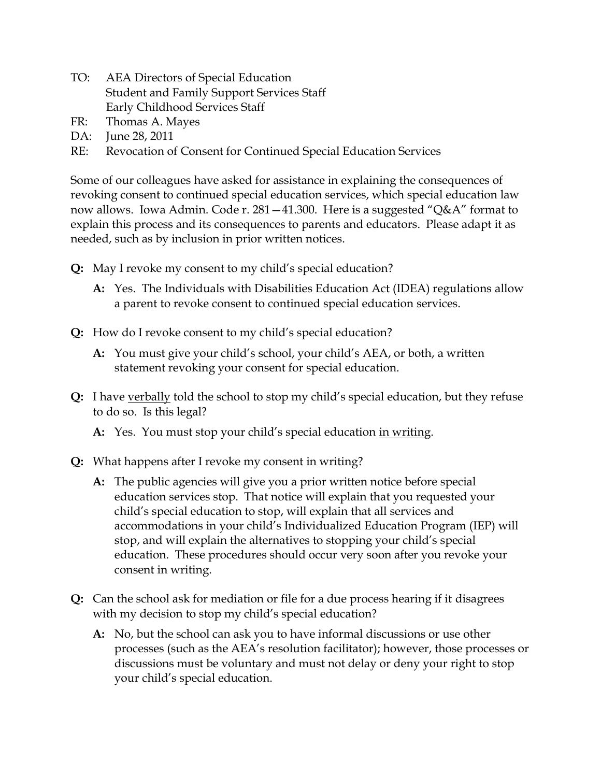- TO: AEA Directors of Special Education Student and Family Support Services Staff Early Childhood Services Staff
- FR: Thomas A. Mayes
- DA: June 28, 2011
- RE: Revocation of Consent for Continued Special Education Services

Some of our colleagues have asked for assistance in explaining the consequences of revoking consent to continued special education services, which special education law now allows. Iowa Admin. Code r. 281—41.300. Here is a suggested "Q&A" format to explain this process and its consequences to parents and educators. Please adapt it as needed, such as by inclusion in prior written notices.

- **Q:** May I revoke my consent to my child's special education?
	- **A:** Yes. The Individuals with Disabilities Education Act (IDEA) regulations allow a parent to revoke consent to continued special education services.
- **Q:** How do I revoke consent to my child's special education?
	- **A:** You must give your child's school, your child's AEA, or both, a written statement revoking your consent for special education.
- **Q:** I have verbally told the school to stop my child's special education, but they refuse to do so. Is this legal?
	- **A:** Yes. You must stop your child's special education in writing.
- **Q:** What happens after I revoke my consent in writing?
	- **A:** The public agencies will give you a prior written notice before special education services stop. That notice will explain that you requested your child's special education to stop, will explain that all services and accommodations in your child's Individualized Education Program (IEP) will stop, and will explain the alternatives to stopping your child's special education. These procedures should occur very soon after you revoke your consent in writing.
- **Q:** Can the school ask for mediation or file for a due process hearing if it disagrees with my decision to stop my child's special education?
	- **A:** No, but the school can ask you to have informal discussions or use other processes (such as the AEA's resolution facilitator); however, those processes or discussions must be voluntary and must not delay or deny your right to stop your child's special education.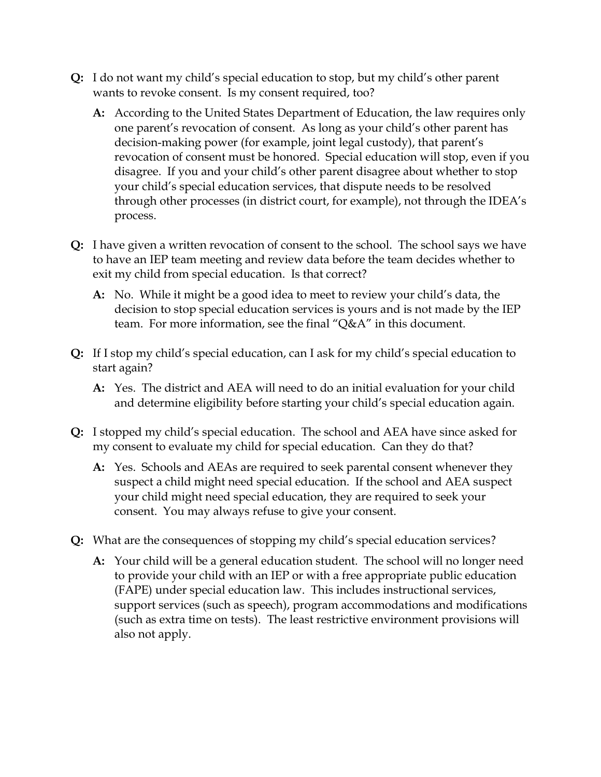- **Q:** I do not want my child's special education to stop, but my child's other parent wants to revoke consent. Is my consent required, too?
	- **A:** According to the United States Department of Education, the law requires only one parent's revocation of consent. As long as your child's other parent has decision-making power (for example, joint legal custody), that parent's revocation of consent must be honored. Special education will stop, even if you disagree. If you and your child's other parent disagree about whether to stop your child's special education services, that dispute needs to be resolved through other processes (in district court, for example), not through the IDEA's process.
- **Q:** I have given a written revocation of consent to the school. The school says we have to have an IEP team meeting and review data before the team decides whether to exit my child from special education. Is that correct?
	- **A:** No. While it might be a good idea to meet to review your child's data, the decision to stop special education services is yours and is not made by the IEP team. For more information, see the final "Q&A" in this document.
- **Q:** If I stop my child's special education, can I ask for my child's special education to start again?
	- **A:** Yes. The district and AEA will need to do an initial evaluation for your child and determine eligibility before starting your child's special education again.
- **Q:** I stopped my child's special education. The school and AEA have since asked for my consent to evaluate my child for special education. Can they do that?
	- **A:** Yes. Schools and AEAs are required to seek parental consent whenever they suspect a child might need special education. If the school and AEA suspect your child might need special education, they are required to seek your consent. You may always refuse to give your consent.
- **Q:** What are the consequences of stopping my child's special education services?
	- **A:** Your child will be a general education student. The school will no longer need to provide your child with an IEP or with a free appropriate public education (FAPE) under special education law. This includes instructional services, support services (such as speech), program accommodations and modifications (such as extra time on tests). The least restrictive environment provisions will also not apply.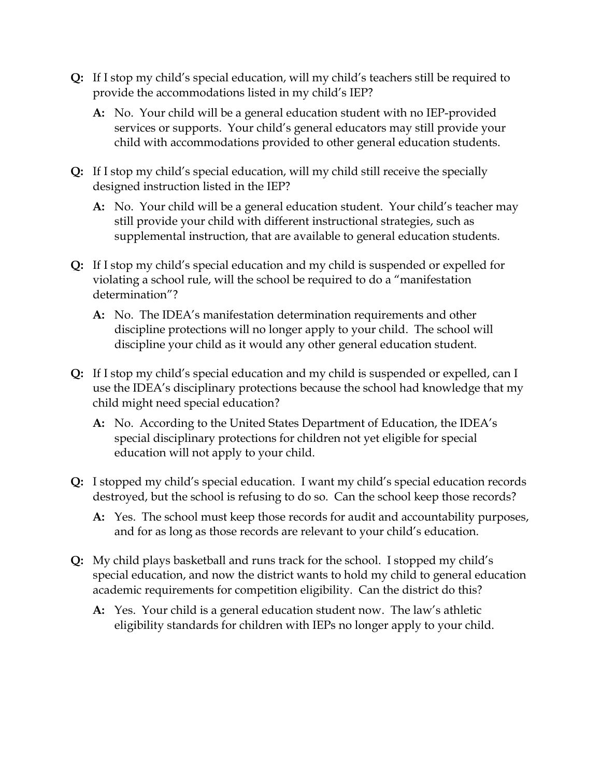- **Q:** If I stop my child's special education, will my child's teachers still be required to provide the accommodations listed in my child's IEP?
	- **A:** No. Your child will be a general education student with no IEP-provided services or supports. Your child's general educators may still provide your child with accommodations provided to other general education students.
- **Q:** If I stop my child's special education, will my child still receive the specially designed instruction listed in the IEP?
	- **A:** No. Your child will be a general education student. Your child's teacher may still provide your child with different instructional strategies, such as supplemental instruction, that are available to general education students.
- **Q:** If I stop my child's special education and my child is suspended or expelled for violating a school rule, will the school be required to do a "manifestation determination"?
	- **A:** No. The IDEA's manifestation determination requirements and other discipline protections will no longer apply to your child. The school will discipline your child as it would any other general education student.
- **Q:** If I stop my child's special education and my child is suspended or expelled, can I use the IDEA's disciplinary protections because the school had knowledge that my child might need special education?
	- **A:** No. According to the United States Department of Education, the IDEA's special disciplinary protections for children not yet eligible for special education will not apply to your child.
- **Q:** I stopped my child's special education. I want my child's special education records destroyed, but the school is refusing to do so. Can the school keep those records?
	- **A:** Yes. The school must keep those records for audit and accountability purposes, and for as long as those records are relevant to your child's education.
- **Q:** My child plays basketball and runs track for the school. I stopped my child's special education, and now the district wants to hold my child to general education academic requirements for competition eligibility. Can the district do this?
	- **A:** Yes. Your child is a general education student now. The law's athletic eligibility standards for children with IEPs no longer apply to your child.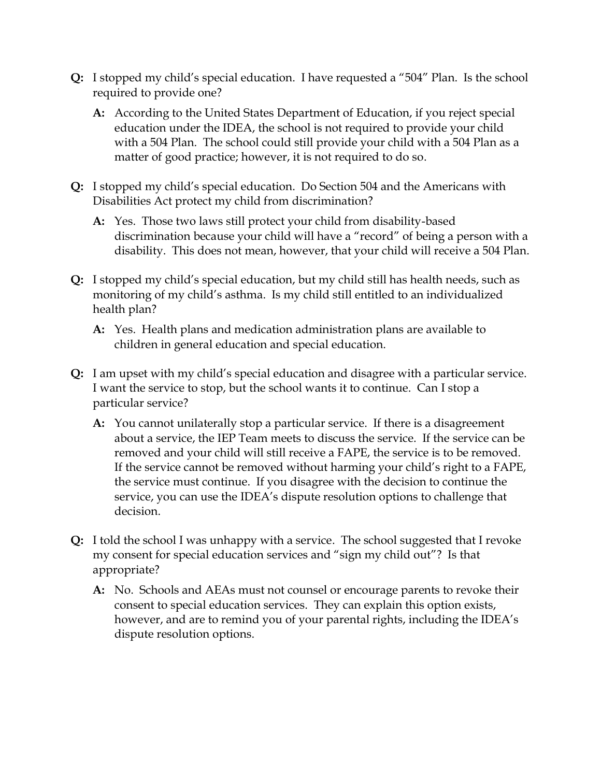- **Q:** I stopped my child's special education. I have requested a "504" Plan. Is the school required to provide one?
	- **A:** According to the United States Department of Education, if you reject special education under the IDEA, the school is not required to provide your child with a 504 Plan. The school could still provide your child with a 504 Plan as a matter of good practice; however, it is not required to do so.
- **Q:** I stopped my child's special education. Do Section 504 and the Americans with Disabilities Act protect my child from discrimination?
	- **A:** Yes. Those two laws still protect your child from disability-based discrimination because your child will have a "record" of being a person with a disability. This does not mean, however, that your child will receive a 504 Plan.
- **Q:** I stopped my child's special education, but my child still has health needs, such as monitoring of my child's asthma. Is my child still entitled to an individualized health plan?
	- **A:** Yes. Health plans and medication administration plans are available to children in general education and special education.
- **Q:** I am upset with my child's special education and disagree with a particular service. I want the service to stop, but the school wants it to continue. Can I stop a particular service?
	- **A:** You cannot unilaterally stop a particular service. If there is a disagreement about a service, the IEP Team meets to discuss the service. If the service can be removed and your child will still receive a FAPE, the service is to be removed. If the service cannot be removed without harming your child's right to a FAPE, the service must continue. If you disagree with the decision to continue the service, you can use the IDEA's dispute resolution options to challenge that decision.
- **Q:** I told the school I was unhappy with a service. The school suggested that I revoke my consent for special education services and "sign my child out"? Is that appropriate?
	- **A:** No. Schools and AEAs must not counsel or encourage parents to revoke their consent to special education services. They can explain this option exists, however, and are to remind you of your parental rights, including the IDEA's dispute resolution options.